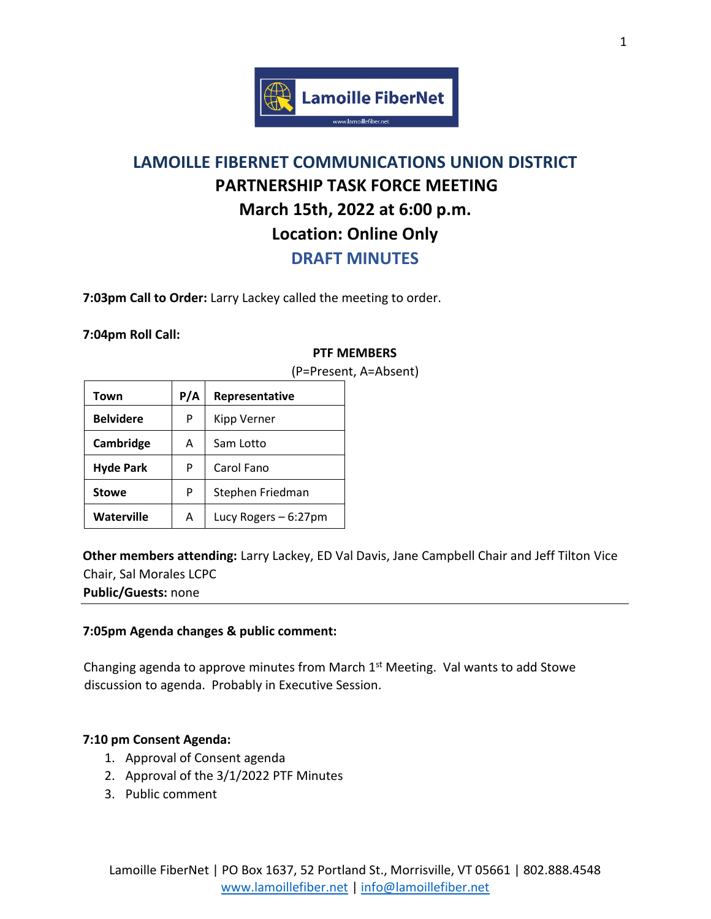

# **LAMOILLE FIBERNET COMMUNICATIONS UNION DISTRICT PARTNERSHIP TASK FORCE MEETING March 15th, 2022 at 6:00 p.m. Location: Online Only**

**DRAFT MINUTES**

**7:03pm Call to Order:** Larry Lackey called the meeting to order.

#### **7:04pm Roll Call:**

#### **PTF MEMBERS**

| Town             | P/A | Representative       |
|------------------|-----|----------------------|
| <b>Belvidere</b> | P   | Kipp Verner          |
| Cambridge        | A   | Sam Lotto            |
| <b>Hyde Park</b> | P   | Carol Fano           |
| <b>Stowe</b>     | P   | Stephen Friedman     |
| Waterville       | A   | Lucy Rogers - 6:27pm |

(P=Present, A=Absent)

**Other members attending:** Larry Lackey, ED Val Davis, Jane Campbell Chair and Jeff Tilton Vice Chair, Sal Morales LCPC

**Public/Guests:** none

## **7:05pm Agenda changes & public comment:**

Changing agenda to approve minutes from March  $1<sup>st</sup>$  Meeting. Val wants to add Stowe discussion to agenda. Probably in Executive Session.

## **7:10 pm Consent Agenda:**

- 1. Approval of Consent agenda
- 2. Approval of the 3/1/2022 PTF Minutes
- 3. Public comment